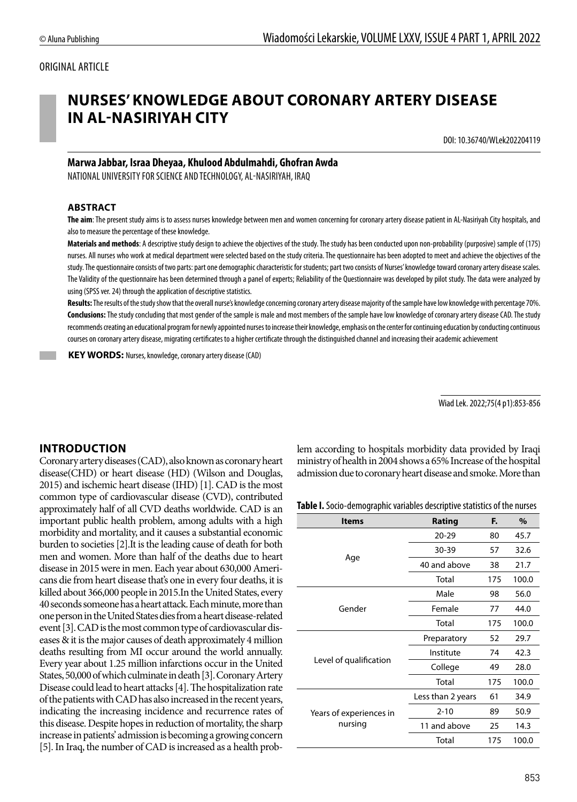## ORIGINAL ARTICLE

# **NURSES' KNOWLEDGE ABOUT CORONARY ARTERY DISEASE IN AL-NASIRIYAH CITY**

DOI: 10.36740/WLek202204119

# **Marwa Jabbar, Israa Dheyaa, Khulood Abdulmahdi, Ghofran Awda**

NATIONAL UNIVERSITY FOR SCIENCE AND TECHNOLOGY, AL-NASIRIYAH, IRAQ

### **ABSTRACT**

**The aim**: The present study aims is to assess nurses knowledge between men and women concerning for coronary artery disease patient in AL-Nasiriyah City hospitals, and also to measure the percentage of these knowledge.

**Materials and methods**: A descriptive study design to achieve the objectives of the study. The study has been conducted upon non-probability (purposive) sample of (175) nurses. All nurses who work at medical department were selected based on the study criteria. The questionnaire has been adopted to meet and achieve the objectives of the study. The questionnaire consists of two parts: part one demographic characteristic for students; part two consists of Nurses' knowledge toward coronary artery disease scales. The Validity of the questionnaire has been determined through a panel of experts; Reliability of the Questionnaire was developed by pilot study. The data were analyzed by using (SPSS ver. 24) through the application of descriptive statistics.

**Results:** The results of the study show that the overall nurse's knowledge concerning coronary artery disease majority of the sample have low knowledge with percentage 70%. **Conclusions:** The study concluding that most gender of the sample is male and most members of the sample have low knowledge of coronary artery disease CAD. The study recommends creating an educational program for newly appointed nurses to increase their knowledge, emphasis on the center for continuing education by conducting continuous courses on coronary artery disease, migrating certificates to a higher certificate through the distinguished channel and increasing their academic achievement

 **KEY WORDS:** Nurses, knowledge, coronary artery disease (CAD)

Wiad Lek. 2022;75(4 p1):853-856

# **INTRODUCTION**

Coronary artery diseases (CAD), also known as coronary heart disease(CHD) or heart disease (HD) (Wilson and Douglas, 2015) and ischemic heart disease (IHD) [1]. CAD is the most common type of cardiovascular disease (CVD), contributed approximately half of all CVD deaths worldwide. CAD is an important public health problem, among adults with a high morbidity and mortality, and it causes a substantial economic burden to societies [2].It is the leading cause of death for both men and women. More than half of the deaths due to heart disease in 2015 were in men. Each year about 630,000 Americans die from heart disease that's one in every four deaths, it is killed about 366,000 people in 2015.In the United States, every 40 seconds someone has a heart attack. Each minute, more than one person in the United States dies from a heart disease-related event [3]. CAD is the most common type of cardiovascular diseases & it is the major causes of death approximately 4 million deaths resulting from MI occur around the world annually. Every year about 1.25 million infarctions occur in the United States, 50,000 of which culminate in death [3]. Coronary Artery Disease could lead to heart attacks [4]. The hospitalization rate of the patients with CAD has also increased in the recent years, indicating the increasing incidence and recurrence rates of this disease. Despite hopes in reduction of mortality, the sharp increase in patients' admission is becoming a growing concern [5]. In Iraq, the number of CAD is increased as a health problem according to hospitals morbidity data provided by Iraqi ministry of health in 2004 shows a 65% Increase of the hospital admission due to coronary heart disease and smoke. More than

| <b>Items</b>                       | Rating            | F.   | $\%$  |
|------------------------------------|-------------------|------|-------|
| Age                                | $20 - 29$         | 80   | 45.7  |
|                                    | 30-39             | 57   | 32.6  |
|                                    | 40 and above      | 38   | 21.7  |
|                                    | Total             | 175  | 100.0 |
|                                    | Male<br>98        | 56.0 |       |
| Gender                             | Female            | 77   | 44.0  |
|                                    | Total             | 175  | 100.0 |
|                                    | Preparatory       | 52   | 29.7  |
|                                    | Institute         | 74   | 42.3  |
| Level of qualification             | College           | 49   | 28.0  |
|                                    | Total             | 175  | 100.0 |
|                                    | Less than 2 years | 61   | 34.9  |
| Years of experiences in<br>nursing | $2 - 10$          | 89   | 50.9  |
|                                    | 11 and above      | 25   | 14.3  |
|                                    | Total             | 175  | 100.0 |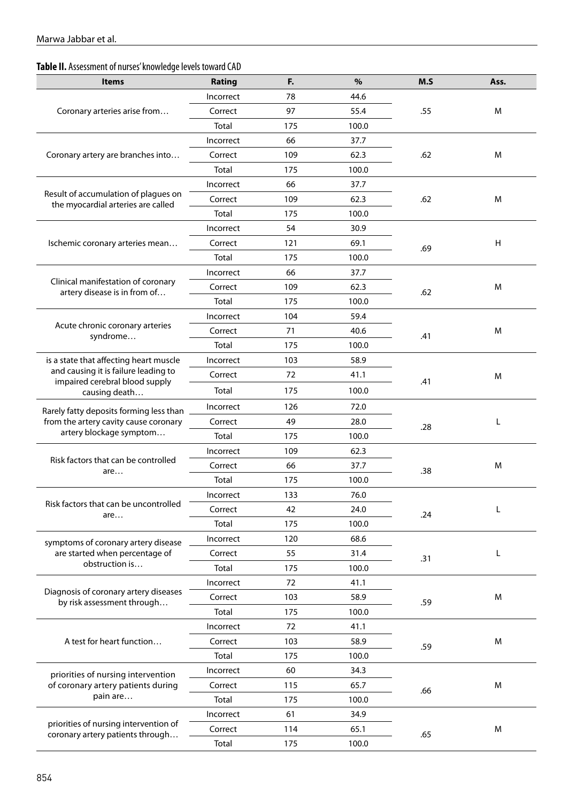# **Table II.** Assessment of nurses' knowledge levels toward CAD

| <b>Items</b>                                                               | Rating    | F.  | %     | M.S | Ass. |
|----------------------------------------------------------------------------|-----------|-----|-------|-----|------|
| Coronary arteries arise from                                               | Incorrect | 78  | 44.6  |     |      |
|                                                                            | Correct   | 97  | 55.4  | .55 | м    |
|                                                                            | Total     | 175 | 100.0 |     |      |
|                                                                            | Incorrect | 66  | 37.7  |     |      |
| Coronary artery are branches into                                          | Correct   | 109 | 62.3  | .62 | м    |
|                                                                            | Total     | 175 | 100.0 |     |      |
|                                                                            | Incorrect | 66  | 37.7  |     |      |
| Result of accumulation of plagues on<br>the myocardial arteries are called | Correct   | 109 | 62.3  | .62 | м    |
|                                                                            | Total     | 175 | 100.0 |     |      |
|                                                                            | Incorrect | 54  | 30.9  |     |      |
| Ischemic coronary arteries mean                                            | Correct   | 121 | 69.1  | .69 | H    |
|                                                                            | Total     | 175 | 100.0 |     |      |
|                                                                            | Incorrect | 66  | 37.7  |     |      |
| Clinical manifestation of coronary<br>artery disease is in from of         | Correct   | 109 | 62.3  | .62 | M    |
|                                                                            | Total     | 175 | 100.0 |     |      |
|                                                                            | Incorrect | 104 | 59.4  |     |      |
| Acute chronic coronary arteries<br>syndrome                                | Correct   | 71  | 40.6  | .41 | M    |
|                                                                            | Total     | 175 | 100.0 |     |      |
| is a state that affecting heart muscle                                     | Incorrect | 103 | 58.9  |     |      |
| and causing it is failure leading to<br>impaired cerebral blood supply     | Correct   | 72  | 41.1  | .41 | M    |
| causing death                                                              | Total     | 175 | 100.0 |     |      |
| Rarely fatty deposits forming less than                                    | Incorrect | 126 | 72.0  | .28 |      |
| from the artery cavity cause coronary                                      | Correct   | 49  | 28.0  |     | L    |
| artery blockage symptom                                                    | Total     | 175 | 100.0 |     |      |
|                                                                            | Incorrect | 109 | 62.3  | .38 | M    |
| Risk factors that can be controlled<br>are                                 | Correct   | 66  | 37.7  |     |      |
|                                                                            | Total     | 175 | 100.0 |     |      |
|                                                                            | Incorrect | 133 | 76.0  | .24 |      |
| Risk factors that can be uncontrolled<br>are                               | Correct   | 42  | 24.0  |     | L    |
|                                                                            | Total     | 175 | 100.0 |     |      |
| symptoms of coronary artery disease                                        | Incorrect | 120 | 68.6  |     |      |
| are started when percentage of                                             | Correct   | 55  | 31.4  | .31 | L    |
| obstruction is                                                             | Total     | 175 | 100.0 |     |      |
|                                                                            | Incorrect | 72  | 41.1  |     |      |
| Diagnosis of coronary artery diseases<br>by risk assessment through        | Correct   | 103 | 58.9  | .59 | M    |
|                                                                            | Total     | 175 | 100.0 |     |      |
| A test for heart function                                                  | Incorrect | 72  | 41.1  |     |      |
|                                                                            | Correct   | 103 | 58.9  | .59 | M    |
|                                                                            | Total     | 175 | 100.0 |     |      |
| priorities of nursing intervention<br>of coronary artery patients during   | Incorrect | 60  | 34.3  |     |      |
|                                                                            | Correct   | 115 | 65.7  | .66 | M    |
| pain are                                                                   | Total     | 175 | 100.0 |     |      |
|                                                                            | Incorrect | 61  | 34.9  |     |      |
| priorities of nursing intervention of<br>coronary artery patients through  | Correct   | 114 | 65.1  | .65 | M    |
|                                                                            | Total     | 175 | 100.0 |     |      |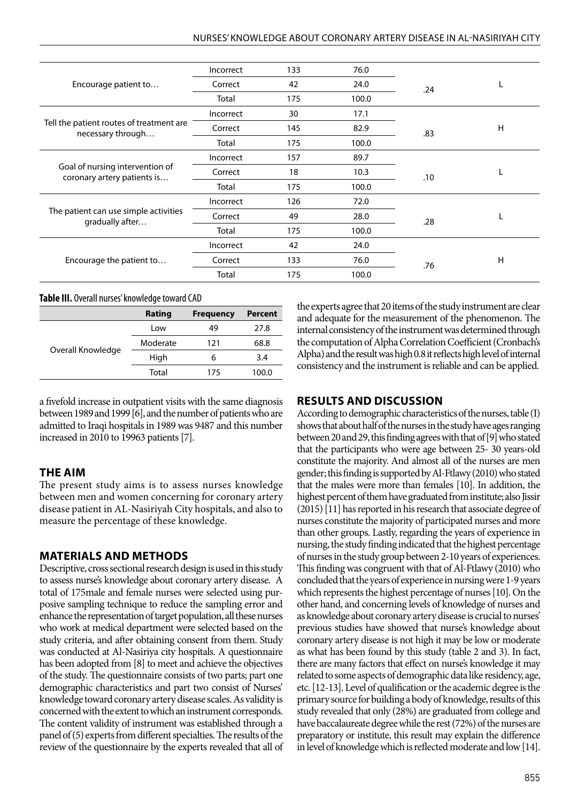| Encourage patient to                                           | Incorrect | 133 | 76.0  |     |   |
|----------------------------------------------------------------|-----------|-----|-------|-----|---|
|                                                                | Correct   | 42  | 24.0  | .24 |   |
|                                                                | Total     | 175 | 100.0 |     |   |
| Tell the patient routes of treatment are<br>necessary through  | Incorrect | 30  | 17.1  |     |   |
|                                                                | Correct   | 145 | 82.9  | .83 | H |
|                                                                | Total     | 175 | 100.0 |     |   |
| Goal of nursing intervention of<br>coronary artery patients is | Incorrect | 157 | 89.7  |     |   |
|                                                                | Correct   | 18  | 10.3  | .10 |   |
|                                                                | Total     | 175 | 100.0 |     |   |
| The patient can use simple activities<br>gradually after       | Incorrect | 126 | 72.0  |     |   |
|                                                                | Correct   | 49  | 28.0  | .28 |   |
|                                                                | Total     | 175 | 100.0 |     |   |
| Encourage the patient to                                       | Incorrect | 42  | 24.0  |     |   |
|                                                                | Correct   | 133 | 76.0  | .76 | H |
|                                                                | Total     | 175 | 100.0 |     |   |

#### **Table III.** Overall nurses' knowledge toward CAD

|                   | Rating   | <b>Frequency</b> | <b>Percent</b> |
|-------------------|----------|------------------|----------------|
| Overall Knowledge | Low      | 49               | 27.8           |
|                   | Moderate | 121              | 68.8           |
|                   | High     | 6                | 3.4            |
|                   | Total    | 175              | 100.0          |

a fivefold increase in outpatient visits with the same diagnosis between 1989 and 1999 [6], and the number of patients who are admitted to Iraqi hospitals in 1989 was 9487 and this number increased in 2010 to 19963 patients [7].

### **THE AIM**

The present study aims is to assess nurses knowledge between men and women concerning for coronary artery disease patient in AL-Nasiriyah City hospitals, and also to measure the percentage of these knowledge.

## **MATERIALS AND METHODS**

Descriptive, cross sectional research design is used in this study to assess nurse's knowledge about coronary artery disease. A total of 175male and female nurses were selected using purposive sampling technique to reduce the sampling error and enhance the representation of target population, all these nurses who work at medical department were selected based on the study criteria, and after obtaining consent from them. Study was conducted at Al-Nasiriya city hospitals. A questionnaire has been adopted from [8] to meet and achieve the objectives of the study. The questionnaire consists of two parts; part one demographic characteristics and part two consist of Nurses' knowledge toward coronary artery disease scales. As validity is concerned with the extent to which an instrument corresponds. The content validity of instrument was established through a panel of (5) experts from different specialties. The results of the review of the questionnaire by the experts revealed that all of the experts agree that 20 items of the study instrument are clear and adequate for the measurement of the phenomenon. The internal consistency of the instrument was determined through the computation of Alpha Correlation Coefficient (Cronbach's Alpha) and the result was high 0.8 it reflects high level of internal consistency and the instrument is reliable and can be applied.

## **RESULTS AND DISCUSSION**

According to demographic characteristics of the nurses, table (I) shows that about half of the nurses in the study have ages ranging between 20 and 29, this finding agrees with that of [9] who stated that the participants who were age between 25- 30 years-old constitute the majority. And almost all of the nurses are men gender; this finding is supported by Al-Ftlawy (2010) who stated that the males were more than females [10]. In addition, the highest percent of them have graduated from institute; also Jissir (2015) [11] has reported in his research that associate degree of nurses constitute the majority of participated nurses and more than other groups. Lastly, regarding the years of experience in nursing, the study finding indicated that the highest percentage of nurses in the study group between 2-10 years of experiences. This finding was congruent with that of Al-Ftlawy (2010) who concluded that the years of experience in nursing were 1-9 years which represents the highest percentage of nurses [10]. On the other hand, and concerning levels of knowledge of nurses and as knowledge about coronary artery disease is crucial to nurses' previous studies have showed that nurse's knowledge about coronary artery disease is not high it may be low or moderate as what has been found by this study (table 2 and 3). In fact, there are many factors that effect on nurse's knowledge it may related to some aspects of demographic data like residency, age, etc. [12-13]. Level of qualification or the academic degree is the primary source for building a body of knowledge, results of this study revealed that only (28%) are graduated from college and have baccalaureate degree while the rest (72%) of the nurses are preparatory or institute, this result may explain the difference in level of knowledge which is reflected moderate and low [14].